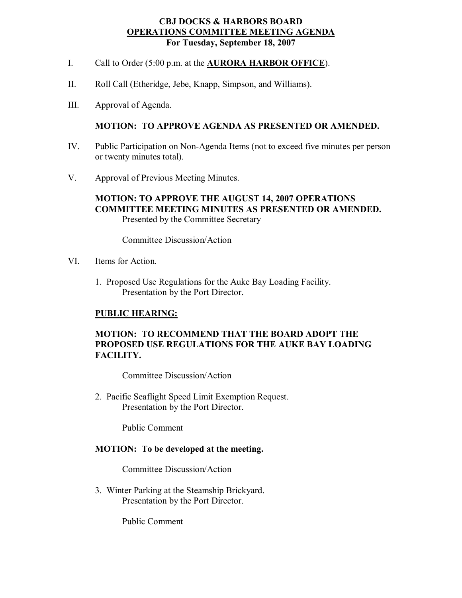#### **CBJ DOCKS & HARBORS BOARD OPERATIONS COMMITTEE MEETING AGENDA For Tuesday, September 18, 2007**

- I. Call to Order (5:00 p.m. at the **AURORA HARBOR OFFICE**).
- II. Roll Call (Etheridge, Jebe, Knapp, Simpson, and Williams).
- III. Approval of Agenda.

#### **MOTION: TO APPROVE AGENDA AS PRESENTED OR AMENDED.**

- IV. Public Participation on Non-Agenda Items (not to exceed five minutes per person or twenty minutes total).
- V. Approval of Previous Meeting Minutes.

### **MOTION: TO APPROVE THE AUGUST 14, 2007 OPERATIONS COMMITTEE MEETING MINUTES AS PRESENTED OR AMENDED.** Presented by the Committee Secretary

Committee Discussion/Action

- VI. Items for Action.
	- 1. Proposed Use Regulations for the Auke Bay Loading Facility. Presentation by the Port Director.

#### **PUBLIC HEARING:**

#### **MOTION: TO RECOMMEND THAT THE BOARD ADOPT THE PROPOSED USE REGULATIONS FOR THE AUKE BAY LOADING FACILITY.**

Committee Discussion/Action

2. Pacific Seaflight Speed Limit Exemption Request. Presentation by the Port Director.

Public Comment

#### **MOTION: To be developed at the meeting.**

Committee Discussion/Action

3. Winter Parking at the Steamship Brickyard. Presentation by the Port Director.

Public Comment